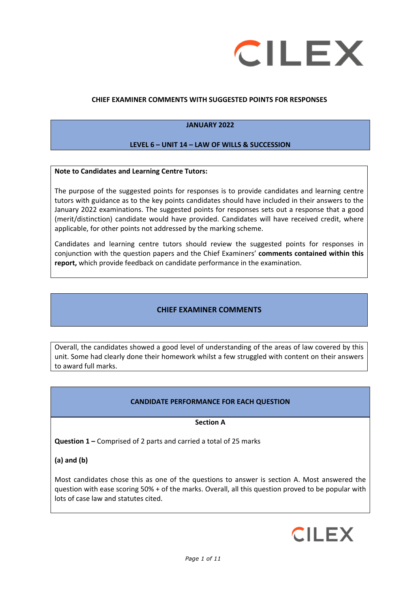

## **CHIEF EXAMINER COMMENTS WITH SUGGESTED POINTS FOR RESPONSES**

## **JANUARY 2022**

#### **LEVEL 6 – UNIT 14 – LAW OF WILLS & SUCCESSION**

#### **Note to Candidates and Learning Centre Tutors:**

The purpose of the suggested points for responses is to provide candidates and learning centre tutors with guidance as to the key points candidates should have included in their answers to the January 2022 examinations. The suggested points for responses sets out a response that a good (merit/distinction) candidate would have provided. Candidates will have received credit, where applicable, for other points not addressed by the marking scheme.

Candidates and learning centre tutors should review the suggested points for responses in conjunction with the question papers and the Chief Examiners' **comments contained within this report,** which provide feedback on candidate performance in the examination.

## **CHIEF EXAMINER COMMENTS**

Overall, the candidates showed a good level of understanding of the areas of law covered by this unit. Some had clearly done their homework whilst a few struggled with content on their answers to award full marks.

#### **CANDIDATE PERFORMANCE FOR EACH QUESTION**

#### **Section A**

**Question 1 –** Comprised of 2 parts and carried a total of 25 marks

**(a) and (b)**

Most candidates chose this as one of the questions to answer is section A. Most answered the question with ease scoring 50% + of the marks. Overall, all this question proved to be popular with lots of case law and statutes cited.

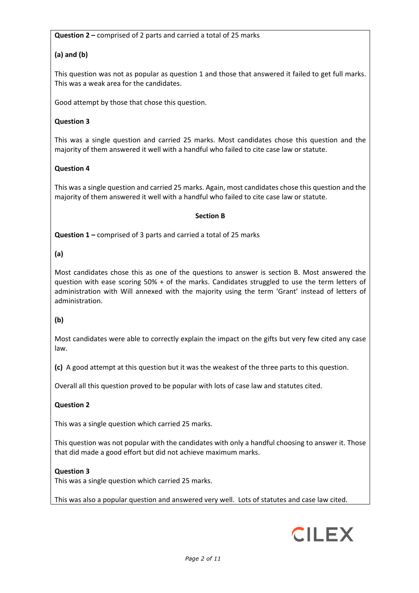**Question 2 –** comprised of 2 parts and carried a total of 25 marks

# **(a) and (b)**

This question was not as popular as question 1 and those that answered it failed to get full marks. This was a weak area for the candidates.

Good attempt by those that chose this question.

## **Question 3**

This was a single question and carried 25 marks. Most candidates chose this question and the majority of them answered it well with a handful who failed to cite case law or statute.

## **Question 4**

This was a single question and carried 25 marks. Again, most candidates chose this question and the majority of them answered it well with a handful who failed to cite case law or statute.

#### **Section B**

**Question 1 –** comprised of 3 parts and carried a total of 25 marks

## **(a)**

Most candidates chose this as one of the questions to answer is section B. Most answered the question with ease scoring 50% + of the marks. Candidates struggled to use the term letters of administration with Will annexed with the majority using the term 'Grant' instead of letters of administration.

#### **(b)**

Most candidates were able to correctly explain the impact on the gifts but very few cited any case law.

**(c)** A good attempt at this question but it was the weakest of the three parts to this question.

Overall all this question proved to be popular with lots of case law and statutes cited.

## **Question 2**

This was a single question which carried 25 marks.

This question was not popular with the candidates with only a handful choosing to answer it. Those that did made a good effort but did not achieve maximum marks.

#### **Question 3**

This was a single question which carried 25 marks.

This was also a popular question and answered very well. Lots of statutes and case law cited.

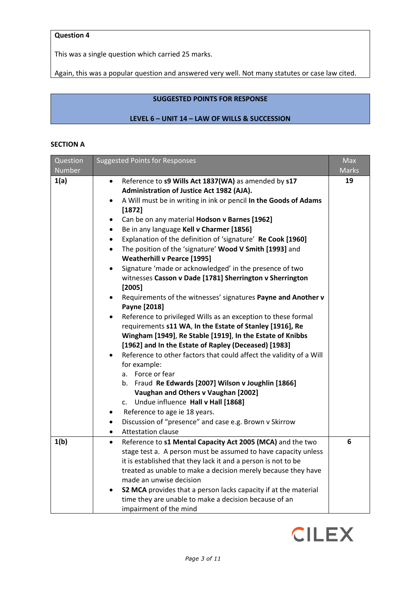## **Question 4**

This was a single question which carried 25 marks.

Again, this was a popular question and answered very well. Not many statutes or case law cited.

# **SUGGESTED POINTS FOR RESPONSE**

## **LEVEL 6 – UNIT 14 – LAW OF WILLS & SUCCESSION**

## **SECTION A**

| Question | <b>Suggested Points for Responses</b>                                                                                    | <b>Max</b>   |
|----------|--------------------------------------------------------------------------------------------------------------------------|--------------|
| Number   |                                                                                                                          | <b>Marks</b> |
| 1(a)     | Reference to s9 Wills Act 1837(WA) as amended by s17<br>$\bullet$                                                        | 19           |
|          | Administration of Justice Act 1982 (AJA).                                                                                |              |
|          | A Will must be in writing in ink or pencil In the Goods of Adams<br>$\bullet$                                            |              |
|          | [1872]                                                                                                                   |              |
|          | Can be on any material Hodson v Barnes [1962]<br>$\bullet$                                                               |              |
|          | Be in any language Kell v Charmer [1856]<br>$\bullet$                                                                    |              |
|          | Explanation of the definition of 'signature' Re Cook [1960]<br>$\bullet$                                                 |              |
|          | The position of the 'signature' Wood V Smith [1993] and<br>$\bullet$                                                     |              |
|          | <b>Weatherhill v Pearce [1995]</b>                                                                                       |              |
|          | Signature 'made or acknowledged' in the presence of two<br>$\bullet$                                                     |              |
|          | witnesses Casson v Dade [1781] Sherrington v Sherrington<br>[2005]                                                       |              |
|          | Requirements of the witnesses' signatures Payne and Another v                                                            |              |
|          | Payne [2018]                                                                                                             |              |
|          | Reference to privileged Wills as an exception to these formal<br>$\bullet$                                               |              |
|          | requirements s11 WA, In the Estate of Stanley [1916], Re                                                                 |              |
|          | Wingham [1949], Re Stable [1919], In the Estate of Knibbs                                                                |              |
|          | [1962] and In the Estate of Rapley (Deceased) [1983]                                                                     |              |
|          | Reference to other factors that could affect the validity of a Will<br>$\bullet$                                         |              |
|          | for example:                                                                                                             |              |
|          | a. Force or fear                                                                                                         |              |
|          | b. Fraud Re Edwards [2007] Wilson v Joughlin [1866]                                                                      |              |
|          | Vaughan and Others v Vaughan [2002]                                                                                      |              |
|          | c. Undue influence Hall v Hall [1868]                                                                                    |              |
|          | Reference to age ie 18 years.                                                                                            |              |
|          | Discussion of "presence" and case e.g. Brown v Skirrow<br>$\bullet$                                                      |              |
|          | <b>Attestation clause</b><br>$\bullet$                                                                                   |              |
| 1(b)     | Reference to s1 Mental Capacity Act 2005 (MCA) and the two<br>$\bullet$                                                  | 6            |
|          | stage test a. A person must be assumed to have capacity unless                                                           |              |
|          | it is established that they lack it and a person is not to be                                                            |              |
|          | treated as unable to make a decision merely because they have                                                            |              |
|          | made an unwise decision                                                                                                  |              |
|          | S2 MCA provides that a person lacks capacity if at the material<br>time they are unable to make a decision because of an |              |
|          |                                                                                                                          |              |
|          | impairment of the mind                                                                                                   |              |

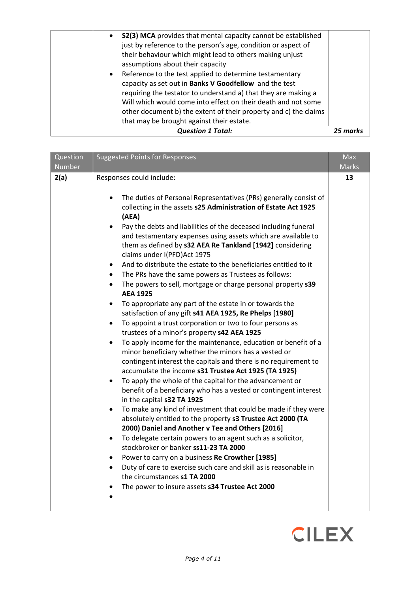| $\bullet$ | their behaviour which might lead to others making unjust<br>assumptions about their capacity<br>Reference to the test applied to determine testamentary<br>capacity as set out in Banks V Goodfellow and the test<br>requiring the testator to understand a) that they are making a<br>Will which would come into effect on their death and not some<br>other document b) the extent of their property and c) the claims<br>that may be brought against their estate.<br><b>Question 1 Total:</b> | 25 marks |
|-----------|---------------------------------------------------------------------------------------------------------------------------------------------------------------------------------------------------------------------------------------------------------------------------------------------------------------------------------------------------------------------------------------------------------------------------------------------------------------------------------------------------|----------|
| $\bullet$ | S2(3) MCA provides that mental capacity cannot be established<br>just by reference to the person's age, condition or aspect of                                                                                                                                                                                                                                                                                                                                                                    |          |

| Question<br>Number | <b>Suggested Points for Responses</b>                                                                                                                                                                                                                                                                                                                                                                                                                                                                                                                                                                                                                                                                                                                                                                                                                                                                                                                                                                                                                                                                                                                                                                                                                                                                                                                                                                                                                                                                                                                                                                                                                                                                                                                                                                         | Max<br>Marks |
|--------------------|---------------------------------------------------------------------------------------------------------------------------------------------------------------------------------------------------------------------------------------------------------------------------------------------------------------------------------------------------------------------------------------------------------------------------------------------------------------------------------------------------------------------------------------------------------------------------------------------------------------------------------------------------------------------------------------------------------------------------------------------------------------------------------------------------------------------------------------------------------------------------------------------------------------------------------------------------------------------------------------------------------------------------------------------------------------------------------------------------------------------------------------------------------------------------------------------------------------------------------------------------------------------------------------------------------------------------------------------------------------------------------------------------------------------------------------------------------------------------------------------------------------------------------------------------------------------------------------------------------------------------------------------------------------------------------------------------------------------------------------------------------------------------------------------------------------|--------------|
| 2(a)               | Responses could include:<br>The duties of Personal Representatives (PRs) generally consist of<br>collecting in the assets s25 Administration of Estate Act 1925<br>(AEA)<br>Pay the debts and liabilities of the deceased including funeral<br>and testamentary expenses using assets which are available to<br>them as defined by s32 AEA Re Tankland [1942] considering<br>claims under I(PFD) Act 1975<br>And to distribute the estate to the beneficiaries entitled to it<br>The PRs have the same powers as Trustees as follows:<br>$\bullet$<br>The powers to sell, mortgage or charge personal property s39<br>$\bullet$<br><b>AEA 1925</b><br>To appropriate any part of the estate in or towards the<br>satisfaction of any gift s41 AEA 1925, Re Phelps [1980]<br>To appoint a trust corporation or two to four persons as<br>trustees of a minor's property s42 AEA 1925<br>To apply income for the maintenance, education or benefit of a<br>minor beneficiary whether the minors has a vested or<br>contingent interest the capitals and there is no requirement to<br>accumulate the income s31 Trustee Act 1925 (TA 1925)<br>To apply the whole of the capital for the advancement or<br>benefit of a beneficiary who has a vested or contingent interest<br>in the capital s32 TA 1925<br>To make any kind of investment that could be made if they were<br>absolutely entitled to the property s3 Trustee Act 2000 (TA<br>2000) Daniel and Another v Tee and Others [2016]<br>To delegate certain powers to an agent such as a solicitor,<br>stockbroker or banker ss11-23 TA 2000<br>Power to carry on a business Re Crowther [1985]<br>Duty of care to exercise such care and skill as is reasonable in<br>the circumstances s1 TA 2000<br>The power to insure assets s34 Trustee Act 2000 | 13           |

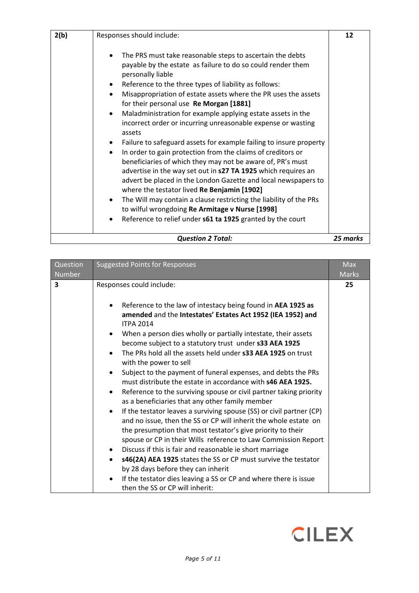| 2(b) | Responses should include:                                                                                                                                                                                                                                                                                                                                                                                                                                                                                                                                                                                                                                                                                                                                                                                                                                                                                                                                                                                                                | 12       |
|------|------------------------------------------------------------------------------------------------------------------------------------------------------------------------------------------------------------------------------------------------------------------------------------------------------------------------------------------------------------------------------------------------------------------------------------------------------------------------------------------------------------------------------------------------------------------------------------------------------------------------------------------------------------------------------------------------------------------------------------------------------------------------------------------------------------------------------------------------------------------------------------------------------------------------------------------------------------------------------------------------------------------------------------------|----------|
|      | The PRS must take reasonable steps to ascertain the debts<br>payable by the estate as failure to do so could render them<br>personally liable<br>Reference to the three types of liability as follows:<br>Misappropriation of estate assets where the PR uses the assets<br>for their personal use Re Morgan [1881]<br>Maladministration for example applying estate assets in the<br>incorrect order or incurring unreasonable expense or wasting<br>assets<br>Failure to safeguard assets for example failing to insure property<br>In order to gain protection from the claims of creditors or<br>beneficiaries of which they may not be aware of, PR's must<br>advertise in the way set out in s27 TA 1925 which requires an<br>advert be placed in the London Gazette and local newspapers to<br>where the testator lived Re Benjamin [1902]<br>The Will may contain a clause restricting the liability of the PRs<br>to wilful wrongdoing Re Armitage v Nurse [1998]<br>Reference to relief under s61 ta 1925 granted by the court |          |
|      | <b>Question 2 Total:</b>                                                                                                                                                                                                                                                                                                                                                                                                                                                                                                                                                                                                                                                                                                                                                                                                                                                                                                                                                                                                                 | 25 marks |

| Question<br><b>Suggested Points for Responses</b><br>Number<br><b>Marks</b>                                                                                                                                                                                                                                                                                                                                                                                                                                                                                                                                                                                                                                                                                                                                                                                                                                                                                                                                                                                                                                                                                                                                                                                    |  |
|----------------------------------------------------------------------------------------------------------------------------------------------------------------------------------------------------------------------------------------------------------------------------------------------------------------------------------------------------------------------------------------------------------------------------------------------------------------------------------------------------------------------------------------------------------------------------------------------------------------------------------------------------------------------------------------------------------------------------------------------------------------------------------------------------------------------------------------------------------------------------------------------------------------------------------------------------------------------------------------------------------------------------------------------------------------------------------------------------------------------------------------------------------------------------------------------------------------------------------------------------------------|--|
| 3<br>Responses could include:<br>25<br>Reference to the law of intestacy being found in AEA 1925 as<br>amended and the Intestates' Estates Act 1952 (IEA 1952) and<br><b>ITPA 2014</b><br>When a person dies wholly or partially intestate, their assets<br>become subject to a statutory trust under s33 AEA 1925<br>The PRs hold all the assets held under <b>s33 AEA 1925</b> on trust<br>with the power to sell<br>Subject to the payment of funeral expenses, and debts the PRs<br>must distribute the estate in accordance with s46 AEA 1925.<br>Reference to the surviving spouse or civil partner taking priority<br>$\bullet$<br>as a beneficiaries that any other family member<br>If the testator leaves a surviving spouse (SS) or civil partner (CP)<br>and no issue, then the SS or CP will inherit the whole estate on<br>the presumption that most testator's give priority to their<br>spouse or CP in their Wills reference to Law Commission Report<br>Discuss if this is fair and reasonable ie short marriage<br>s46(2A) AEA 1925 states the SS or CP must survive the testator<br>$\bullet$<br>by 28 days before they can inherit<br>If the testator dies leaving a SS or CP and where there is issue<br>then the SS or CP will inherit: |  |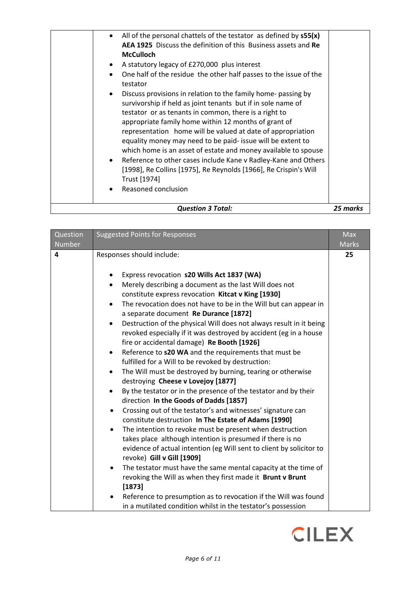| <b>Question 3 Total:</b>                                                                                                                                                                                                                                                                                                                                                                                                                                                 | 25 marks |
|--------------------------------------------------------------------------------------------------------------------------------------------------------------------------------------------------------------------------------------------------------------------------------------------------------------------------------------------------------------------------------------------------------------------------------------------------------------------------|----------|
| equality money may need to be paid- issue will be extent to<br>which home is an asset of estate and money available to spouse<br>Reference to other cases include Kane v Radley-Kane and Others<br>$\bullet$<br>[1998], Re Collins [1975], Re Reynolds [1966], Re Crispin's Will<br>Trust [1974]<br>Reasoned conclusion                                                                                                                                                  |          |
| A statutory legacy of £270,000 plus interest<br>$\bullet$<br>One half of the residue the other half passes to the issue of the<br>testator<br>Discuss provisions in relation to the family home- passing by<br>$\bullet$<br>survivorship if held as joint tenants but if in sole name of<br>testator or as tenants in common, there is a right to<br>appropriate family home within 12 months of grant of<br>representation home will be valued at date of appropriation |          |
| All of the personal chattels of the testator as defined by $s55(x)$<br>$\bullet$<br>AEA 1925 Discuss the definition of this Business assets and Re<br><b>McCulloch</b>                                                                                                                                                                                                                                                                                                   |          |

| Question<br>Number | <b>Suggested Points for Responses</b>                                                                                                                                                                                                                                                                                                                                                                                                                                                                                                                                                                                                                                                                                                                                                                                                                                                                                                                                                          | <b>Max</b><br>Marks |
|--------------------|------------------------------------------------------------------------------------------------------------------------------------------------------------------------------------------------------------------------------------------------------------------------------------------------------------------------------------------------------------------------------------------------------------------------------------------------------------------------------------------------------------------------------------------------------------------------------------------------------------------------------------------------------------------------------------------------------------------------------------------------------------------------------------------------------------------------------------------------------------------------------------------------------------------------------------------------------------------------------------------------|---------------------|
| 4                  | Responses should include:<br>Express revocation s20 Wills Act 1837 (WA)<br>٠<br>Merely describing a document as the last Will does not<br>$\bullet$<br>constitute express revocation Kitcat v King [1930]<br>The revocation does not have to be in the Will but can appear in<br>$\bullet$<br>a separate document Re Durance [1872]<br>Destruction of the physical Will does not always result in it being<br>$\bullet$<br>revoked especially if it was destroyed by accident (eg in a house<br>fire or accidental damage) Re Booth [1926]<br>Reference to s20 WA and the requirements that must be<br>$\bullet$<br>fulfilled for a Will to be revoked by destruction:<br>The Will must be destroyed by burning, tearing or otherwise<br>$\bullet$<br>destroying Cheese v Lovejoy [1877]<br>By the testator or in the presence of the testator and by their<br>$\bullet$<br>direction In the Goods of Dadds [1857]<br>Crossing out of the testator's and witnesses' signature can<br>$\bullet$ | 25                  |
|                    | constitute destruction In The Estate of Adams [1990]<br>The intention to revoke must be present when destruction<br>$\bullet$<br>takes place although intention is presumed if there is no<br>evidence of actual intention (eg Will sent to client by solicitor to<br>revoke) Gill v Gill [1909]<br>The testator must have the same mental capacity at the time of<br>revoking the Will as when they first made it Brunt v Brunt<br>[1873]<br>Reference to presumption as to revocation if the Will was found<br>in a mutilated condition whilst in the testator's possession                                                                                                                                                                                                                                                                                                                                                                                                                  |                     |

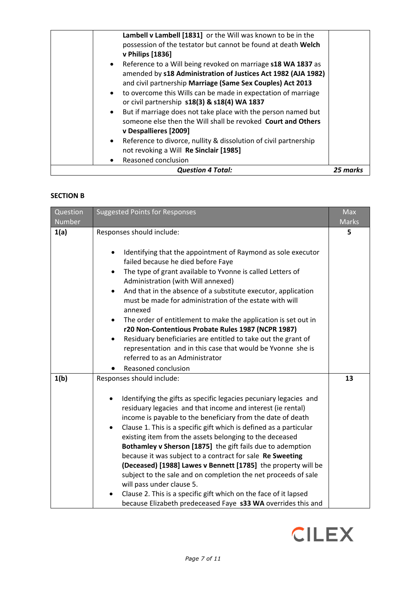|           | <b>Question 4 Total:</b>                                         | 25 marks |
|-----------|------------------------------------------------------------------|----------|
| ٠         | Reasoned conclusion                                              |          |
|           | not revoking a Will Re Sinclair [1985]                           |          |
| $\bullet$ | Reference to divorce, nullity & dissolution of civil partnership |          |
|           | v Despallieres [2009]                                            |          |
|           | someone else then the Will shall be revoked Court and Others     |          |
| $\bullet$ | But if marriage does not take place with the person named but    |          |
|           | or civil partnership s18(3) & s18(4) WA 1837                     |          |
| $\bullet$ | to overcome this Wills can be made in expectation of marriage    |          |
|           | and civil partnership Marriage (Same Sex Couples) Act 2013       |          |
|           | amended by s18 Administration of Justices Act 1982 (AJA 1982)    |          |
| $\bullet$ | Reference to a Will being revoked on marriage s18 WA 1837 as     |          |
|           | v Philips [1836]                                                 |          |
|           | possession of the testator but cannot be found at death Welch    |          |
|           | Lambell v Lambell [1831] or the Will was known to be in the      |          |

## **SECTION B**

| Question<br>Number | <b>Suggested Points for Responses</b>                                                                                                                                                                                                                                                                                                                                                                                                                                                                                                                                                                                                                                                                                                                                                                                  | <b>Max</b><br><b>Marks</b> |
|--------------------|------------------------------------------------------------------------------------------------------------------------------------------------------------------------------------------------------------------------------------------------------------------------------------------------------------------------------------------------------------------------------------------------------------------------------------------------------------------------------------------------------------------------------------------------------------------------------------------------------------------------------------------------------------------------------------------------------------------------------------------------------------------------------------------------------------------------|----------------------------|
| 1(a)               | Responses should include:<br>Identifying that the appointment of Raymond as sole executor<br>failed because he died before Faye<br>The type of grant available to Yvonne is called Letters of<br>$\bullet$<br>Administration (with Will annexed)<br>And that in the absence of a substitute executor, application<br>$\bullet$<br>must be made for administration of the estate with will<br>annexed<br>The order of entitlement to make the application is set out in<br>$\bullet$<br>r20 Non-Contentious Probate Rules 1987 (NCPR 1987)<br>Residuary beneficiaries are entitled to take out the grant of<br>representation and in this case that would be Yvonne she is<br>referred to as an Administrator<br>Reasoned conclusion                                                                                    | 5                          |
| 1(b)               | Responses should include:<br>Identifying the gifts as specific legacies pecuniary legacies and<br>$\bullet$<br>residuary legacies and that income and interest (ie rental)<br>income is payable to the beneficiary from the date of death<br>Clause 1. This is a specific gift which is defined as a particular<br>$\bullet$<br>existing item from the assets belonging to the deceased<br>Bothamley v Sherson [1875] the gift fails due to ademption<br>because it was subject to a contract for sale Re Sweeting<br>(Deceased) [1988] Lawes v Bennett [1785] the property will be<br>subject to the sale and on completion the net proceeds of sale<br>will pass under clause 5.<br>Clause 2. This is a specific gift which on the face of it lapsed<br>because Elizabeth predeceased Faye s33 WA overrides this and | 13                         |

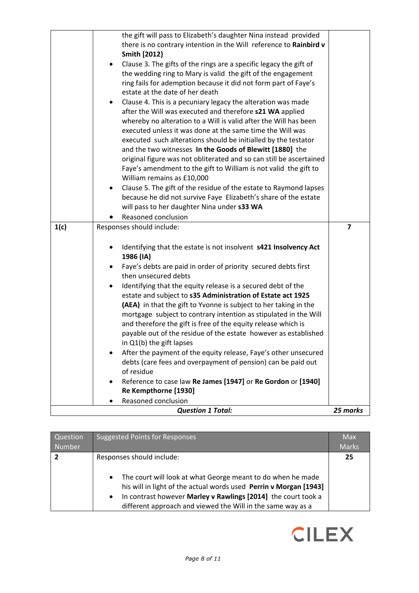|      | the gift will pass to Elizabeth's daughter Nina instead provided                                               |   |
|------|----------------------------------------------------------------------------------------------------------------|---|
|      | there is no contrary intention in the Will reference to Rainbird v                                             |   |
|      | <b>Smith [2012]</b>                                                                                            |   |
|      | Clause 3. The gifts of the rings are a specific legacy the gift of<br>٠                                        |   |
|      | the wedding ring to Mary is valid the gift of the engagement                                                   |   |
|      | ring fails for ademption because it did not form part of Faye's                                                |   |
|      | estate at the date of her death                                                                                |   |
|      | Clause 4. This is a pecuniary legacy the alteration was made<br>$\bullet$                                      |   |
|      | after the Will was executed and therefore s21 WA applied                                                       |   |
|      | whereby no alteration to a Will is valid after the Will has been                                               |   |
|      | executed unless it was done at the same time the Will was                                                      |   |
|      | executed such alterations should be initialled by the testator                                                 |   |
|      | and the two witnesses In the Goods of Blewitt [1880] the                                                       |   |
|      | original figure was not obliterated and so can still be ascertained                                            |   |
|      | Faye's amendment to the gift to William is not valid the gift to                                               |   |
|      | William remains as £10,000                                                                                     |   |
|      | Clause 5. The gift of the residue of the estate to Raymond lapses<br>$\bullet$                                 |   |
|      | because he did not survive Faye Elizabeth's share of the estate<br>will pass to her daughter Nina under s33 WA |   |
|      |                                                                                                                |   |
|      | Reasoned conclusion                                                                                            |   |
| 1(c) | Responses should include:                                                                                      | 7 |
|      |                                                                                                                |   |
|      | Identifying that the estate is not insolvent s421 Insolvency Act<br>٠                                          |   |
|      | 1986 (IA)                                                                                                      |   |
|      | Faye's debts are paid in order of priority secured debts first<br>then unsecured debts                         |   |
|      | Identifying that the equity release is a secured debt of the<br>$\bullet$                                      |   |
|      | estate and subject to s35 Administration of Estate act 1925                                                    |   |
|      |                                                                                                                |   |
|      |                                                                                                                |   |
|      | (AEA) in that the gift to Yvonne is subject to her taking in the                                               |   |
|      | mortgage subject to contrary intention as stipulated in the Will                                               |   |
|      | and therefore the gift is free of the equity release which is                                                  |   |
|      | payable out of the residue of the estate however as established                                                |   |
|      | in Q1(b) the gift lapses                                                                                       |   |
|      | After the payment of the equity release, Faye's other unsecured                                                |   |
|      | debts (care fees and overpayment of pension) can be paid out<br>of residue                                     |   |
|      | Reference to case law Re James [1947] or Re Gordon or [1940]<br>$\bullet$                                      |   |
|      | Re Kempthorne [1930]                                                                                           |   |
|      | Reasoned conclusion                                                                                            |   |

| Question<br>Number | <b>Suggested Points for Responses</b>                                                                                                                                                                                                                                                                                   | <b>Max</b><br><b>Marks</b> |
|--------------------|-------------------------------------------------------------------------------------------------------------------------------------------------------------------------------------------------------------------------------------------------------------------------------------------------------------------------|----------------------------|
| 2                  | Responses should include:<br>The court will look at what George meant to do when he made<br>$\bullet$<br>his will in light of the actual words used Perrin v Morgan [1943]<br>In contrast however Marley v Rawlings [2014] the court took a<br>$\bullet$<br>different approach and viewed the Will in the same way as a | 25                         |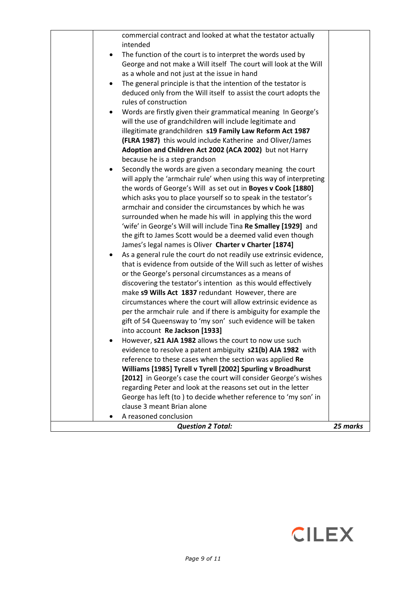| clause 3 meant Brian alone<br>A reasoned conclusion<br><b>Question 2 Total:</b>                                                          | 25 marks |
|------------------------------------------------------------------------------------------------------------------------------------------|----------|
|                                                                                                                                          |          |
|                                                                                                                                          |          |
|                                                                                                                                          |          |
| George has left (to) to decide whether reference to 'my son' in                                                                          |          |
| regarding Peter and look at the reasons set out in the letter                                                                            |          |
| [2012] in George's case the court will consider George's wishes                                                                          |          |
| Williams [1985] Tyrell v Tyrell [2002] Spurling v Broadhurst                                                                             |          |
| reference to these cases when the section was applied Re                                                                                 |          |
| evidence to resolve a patent ambiguity s21(b) AJA 1982 with                                                                              |          |
| However, <b>s21 AJA 1982</b> allows the court to now use such                                                                            |          |
| into account Re Jackson [1933]                                                                                                           |          |
| gift of 54 Queensway to 'my son' such evidence will be taken                                                                             |          |
| per the armchair rule and if there is ambiguity for example the                                                                          |          |
| circumstances where the court will allow extrinsic evidence as                                                                           |          |
| make s9 Wills Act 1837 redundant However, there are                                                                                      |          |
| discovering the testator's intention as this would effectively                                                                           |          |
| or the George's personal circumstances as a means of                                                                                     |          |
| As a general rule the court do not readily use extrinsic evidence,<br>that is evidence from outside of the Will such as letter of wishes |          |
| James's legal names is Oliver Charter v Charter [1874]                                                                                   |          |
| the gift to James Scott would be a deemed valid even though                                                                              |          |
| 'wife' in George's Will will include Tina Re Smalley [1929] and                                                                          |          |
| surrounded when he made his will in applying this the word                                                                               |          |
| armchair and consider the circumstances by which he was                                                                                  |          |
| which asks you to place yourself so to speak in the testator's                                                                           |          |
| the words of George's Will as set out in Boyes v Cook [1880]                                                                             |          |
| will apply the 'armchair rule' when using this way of interpreting                                                                       |          |
| Secondly the words are given a secondary meaning the court                                                                               |          |
| because he is a step grandson                                                                                                            |          |
| Adoption and Children Act 2002 (ACA 2002) but not Harry                                                                                  |          |
| (FLRA 1987) this would include Katherine and Oliver/James                                                                                |          |
| illegitimate grandchildren s19 Family Law Reform Act 1987                                                                                |          |
| will the use of grandchildren will include legitimate and                                                                                |          |
| Words are firstly given their grammatical meaning In George's<br>٠                                                                       |          |
| rules of construction                                                                                                                    |          |
| deduced only from the Will itself to assist the court adopts the                                                                         |          |
| The general principle is that the intention of the testator is<br>$\bullet$                                                              |          |
| as a whole and not just at the issue in hand                                                                                             |          |
| George and not make a Will itself The court will look at the Will                                                                        |          |
| The function of the court is to interpret the words used by<br>$\bullet$                                                                 |          |
| intended                                                                                                                                 |          |
| commercial contract and looked at what the testator actually                                                                             |          |

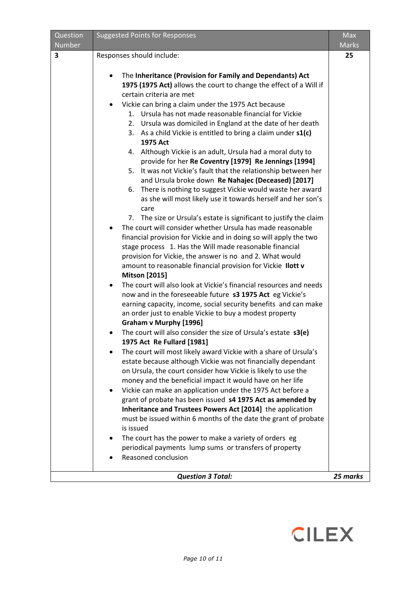| Question | <b>Suggested Points for Responses</b>                                                                                                                                                                                                                                                                                                                                                                                                                                                                                                                                                                                                                                                                                                                                                                                                                                                                                                                                                                                                                          | <b>Max</b>   |
|----------|----------------------------------------------------------------------------------------------------------------------------------------------------------------------------------------------------------------------------------------------------------------------------------------------------------------------------------------------------------------------------------------------------------------------------------------------------------------------------------------------------------------------------------------------------------------------------------------------------------------------------------------------------------------------------------------------------------------------------------------------------------------------------------------------------------------------------------------------------------------------------------------------------------------------------------------------------------------------------------------------------------------------------------------------------------------|--------------|
| Number   |                                                                                                                                                                                                                                                                                                                                                                                                                                                                                                                                                                                                                                                                                                                                                                                                                                                                                                                                                                                                                                                                | <b>Marks</b> |
| 3        | Responses should include:                                                                                                                                                                                                                                                                                                                                                                                                                                                                                                                                                                                                                                                                                                                                                                                                                                                                                                                                                                                                                                      | 25           |
|          | The Inheritance (Provision for Family and Dependants) Act<br>$\bullet$<br>1975 (1975 Act) allows the court to change the effect of a Will if<br>certain criteria are met<br>Vickie can bring a claim under the 1975 Act because<br>$\bullet$<br>1. Ursula has not made reasonable financial for Vickie<br>2. Ursula was domiciled in England at the date of her death<br>3. As a child Vickie is entitled to bring a claim under s1(c)<br>1975 Act<br>4. Although Vickie is an adult, Ursula had a moral duty to<br>provide for her Re Coventry [1979] Re Jennings [1994]<br>5. It was not Vickie's fault that the relationship between her<br>and Ursula broke down Re Nahajec (Deceased) [2017]<br>6. There is nothing to suggest Vickie would waste her award<br>as she will most likely use it towards herself and her son's<br>care<br>7. The size or Ursula's estate is significant to justify the claim<br>The court will consider whether Ursula has made reasonable<br>$\bullet$<br>financial provision for Vickie and in doing so will apply the two |              |
|          | stage process 1. Has the Will made reasonable financial<br>provision for Vickie, the answer is no and 2. What would<br>amount to reasonable financial provision for Vickie Ilott v<br><b>Mitson</b> [2015]<br>The court will also look at Vickie's financial resources and needs<br>$\bullet$<br>now and in the foreseeable future s3 1975 Act eg Vickie's                                                                                                                                                                                                                                                                                                                                                                                                                                                                                                                                                                                                                                                                                                     |              |
|          | earning capacity, income, social security benefits and can make<br>an order just to enable Vickie to buy a modest property<br><b>Graham v Murphy [1996]</b><br>The court will also consider the size of Ursula's estate s3(e)<br>1975 Act Re Fullard [1981]                                                                                                                                                                                                                                                                                                                                                                                                                                                                                                                                                                                                                                                                                                                                                                                                    |              |
|          | The court will most likely award Vickie with a share of Ursula's<br>estate because although Vickie was not financially dependant<br>on Ursula, the court consider how Vickie is likely to use the<br>money and the beneficial impact it would have on her life<br>Vickie can make an application under the 1975 Act before a<br>grant of probate has been issued s4 1975 Act as amended by                                                                                                                                                                                                                                                                                                                                                                                                                                                                                                                                                                                                                                                                     |              |
|          | Inheritance and Trustees Powers Act [2014] the application<br>must be issued within 6 months of the date the grant of probate<br>is issued<br>The court has the power to make a variety of orders eg<br>٠<br>periodical payments lump sums or transfers of property<br>Reasoned conclusion                                                                                                                                                                                                                                                                                                                                                                                                                                                                                                                                                                                                                                                                                                                                                                     |              |
|          | <b>Question 3 Total:</b>                                                                                                                                                                                                                                                                                                                                                                                                                                                                                                                                                                                                                                                                                                                                                                                                                                                                                                                                                                                                                                       | 25 marks     |